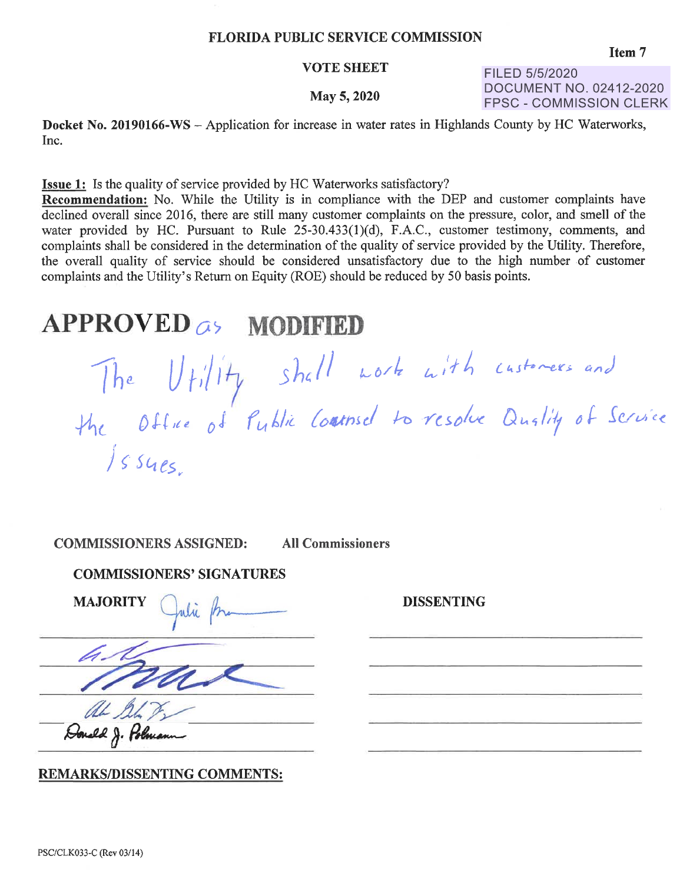#### FLORIDA PUBLIC SERVICE COMMISSION

#### VOTE SHEET

#### May 5, 2020

FILED 5/5/2020 DOCUMENT NO. 02412-2020 FPSC - COMMISSION CLERK

**Docket No. 20190166-WS** - Application for increase in water rates in Highlands County by HC Waterworks, Inc.

**Issue 1:** Is the quality of service provided by HC Waterworks satisfactory?

**Recommendation:** No. While the Utility is in compliance with the DEP and customer complaints have declined overall since 2016, there are still many customer complaints on the pressure, color, and smell of the water provided by HC. Pursuant to Rule 25-30.433(1)(d), F.A.C., customer testimony, comments, and complaints shall be considered in the determination of the quality of service provided by the Utility. Therefore, the overall quality of service should be considered unsatisfactory due to the high number of customer complaints and the Utility's Return on Equity (ROE) should be reduced by 50 basis points.

#### **APPROVED o) MODIFIED**

*Ur,117 5 h( I* I Office of Public / ~· *54 es ..* 

**COMMISSIONERS ASSIGNED: All Commissioners** 

#### **COMMISSIONERS' SIGNATURES**

MAJORITY Qubi frame

Honald J. Hh

#### **REMARKS/DISSENTING COMMENTS:**

**DISSENTING**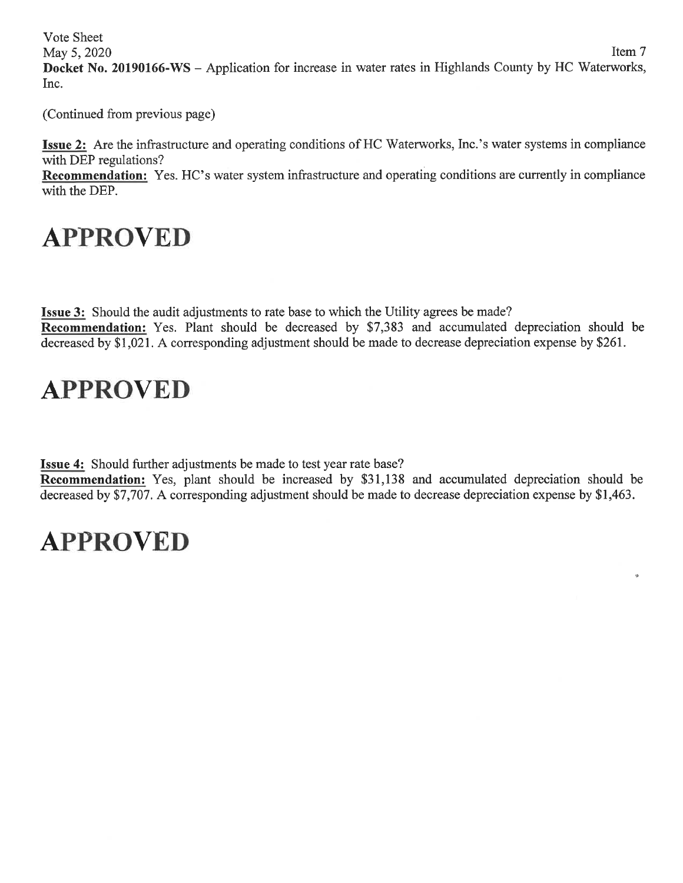Vote Sheet

May 5, 2020 Item 7 **Docket No. 20190166-WS** - Application for increase in water rates in Highlands County by HC Waterworks, Inc.

(Continued from previous page)

**Issue 2:** Are the infrastructure and operating conditions of HC Waterworks, Inc.'s water systems in compliance with DEP regulations?

**Recommendation:** Yes. HC's water system infrastructure and operating conditions are currently in compliance with the DEP.

# **APPROVED**

**Issue 3:** Should the audit adjustments to rate base to which the Utility agrees be made? **Recommendation:** Yes. Plant should be decreased by \$7,383 and accumulated depreciation should be decreased by \$1,021. A corresponding adjustment should be made to decrease depreciation expense by \$261.

# **APPROVED**

**Issue 4:** Should further adjustments be made to test year rate base?

**Recommendation:** Yes, plant should be increased by \$31,138 and accumulated depreciation should be decreased by \$7,707. A corresponding adjustment should be made to decrease depreciation expense by \$1,463.

 $\ddot{\circ}$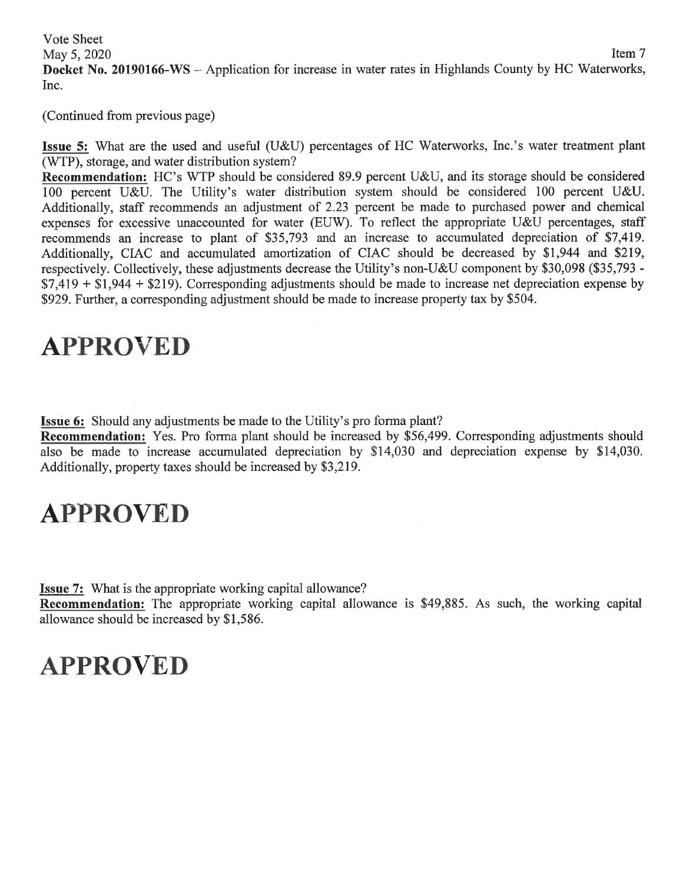Vote Sheet May  $5,2020$  Item  $7$ **Docket No. 20190166-WS** - Application for increase in water rates in Highlands County by HC Waterworks, Inc.

(Continued from previous page)

**Issue 5:** What are the used and useful (U&U) percentages of HC Waterworks, Inc.'s water treatment plant (WTP), storage, and water distribution system?

**Recommendation:** HC's WTP should be considered 89.9 percent U&U, and its storage should be considered 100 percent U&U. The Utility's water distribution system should be considered 100 percent U&U. Additionally, staff recommends an adjustment of 2.23 percent be made to purchased power and chemical expenses for excessive unaccounted for water (EUW). To reflect the appropriate U&U percentages, staff recommends an increase to plant of \$35,793 and an increase to accumulated depreciation of \$7,419. Additionally, CIAC and accumulated amortization of CIAC should be decreased by \$1,944 and \$219, respectively. Collectively, these adjustments decrease the Utility's non-U&U component by \$30,098 (\$35,793 -  $$7,419 + $1,944 + $219$ ). Corresponding adjustments should be made to increase net depreciation expense by \$929. Further, a corresponding adjustment should be made to increase property tax by \$504.

#### **APPROVED**

**Issue 6:** Should any adjustments be made to the Utility's proforma plant?

**Recommendation:** Yes. Pro forma plant should be increased by \$56,499. Corresponding adjustments should also be made to increase accumulated depreciation by \$14,030 and depreciation expense by \$14,030. Additionally, property taxes should be increased by \$3,219.

# **APPROVED**

**Issue** 7: What is the appropriate working capital allowance?

**Recommendation:** The appropriate working capital allowance is \$49,885. As such, the working capital allowance should be increased by \$1,586.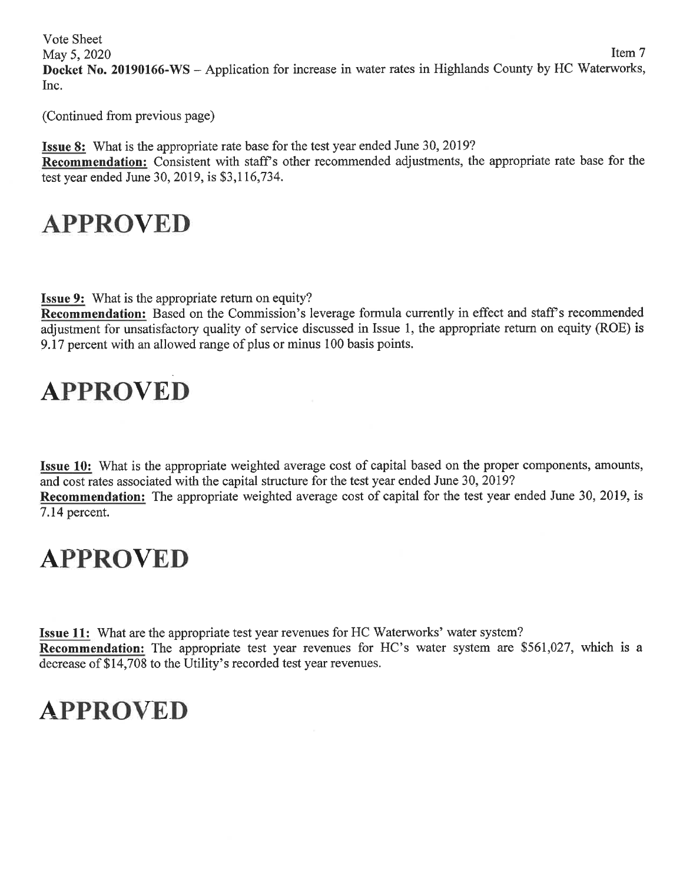Vote Sheet  $\text{May } 5, 2020$  Item 7 **Docket No. 20190166-WS** - Application for increase in water rates in Highlands County by HC Waterworks, Inc.

(Continued from previous page)

**Issue 8:** What is the appropriate rate base for the test year ended June 30, 2019? **Recommendation:** Consistent with staff's other recommended adjustments, the appropriate rate base for the test year ended June 30, 2019, is \$3,116,734.

#### **APPROVED**

**Issue 9:** What is the appropriate return on equity?

**Recommendation:** Based on the Commission's leverage formula currently in effect and staff's recommended adjustment for unsatisfactory quality of service discussed in Issue 1, the appropriate return on equity (ROE) is 9 .17 percent with an allowed range of plus or minus 100 basis points.

# **APPROVED**

**Issue 10:** What is the appropriate weighted average cost of capital based on the proper components, amounts, and cost rates associated with the capital structure for the test year ended June 30, 2019?

**Recommendation:** The appropriate weighted average cost of capital for the test year ended June 30, 2019, is 7 .14 percent.

#### **APPROVED**

**Issue 11:** What are the appropriate test year revenues for HC Waterworks' water system? **Recommendation:** The appropriate test year revenues for HC's water system are \$561,027, which is a decrease of \$14,708 to the Utility's recorded test year revenues.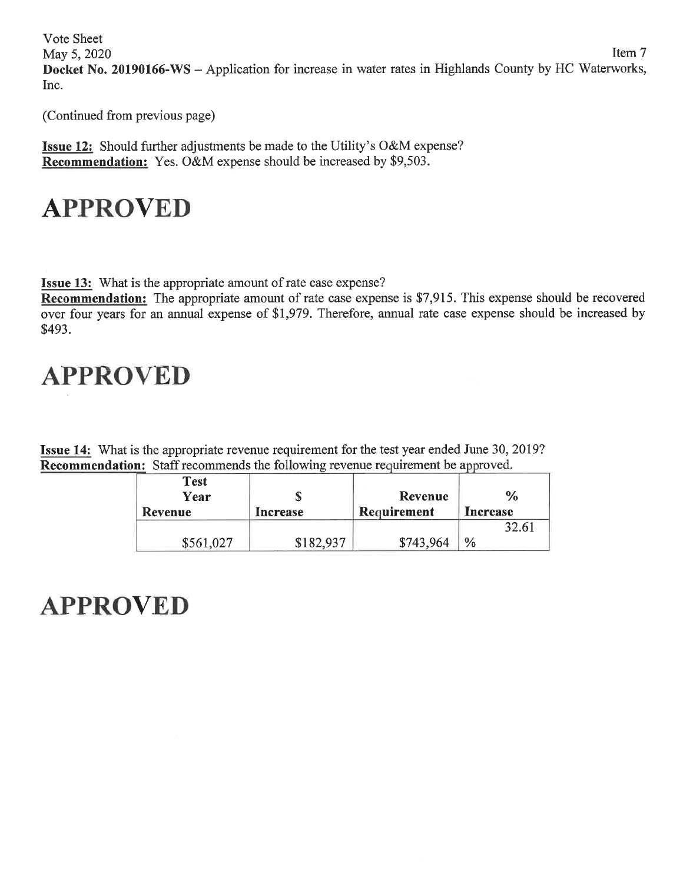Vote Sheet  $\text{May } 5, 2020$  Item 7 **Docket No. 20190166-WS** - Application for increase in water rates in Highlands County by HC Waterworks, Inc.

(Continued from previous page)

**Issue 12:** Should further adjustments be made to the Utility's O&M expense? **Recommendation:** Yes. O&M expense should be increased by \$9,503.

# **APPROVED**

**Issue 13:** What is the appropriate amount of rate case expense?

**Recommendation:** The appropriate amount of rate case expense is \$7,915. This expense should be recovered over four years for an annual expense of \$1,979. Therefore, annual rate case expense should be increased by \$493.

# **APPROVED**

**Issue 14:** What is the appropriate revenue requirement for the test year ended June 30, 2019? **Recommendation:** Staff recommends the following revenue requirement be approved.

| <b>Test</b><br>Year<br><b>Revenue</b> | Increase  | Revenue<br>Requirement | $\frac{6}{9}$<br>Increase |
|---------------------------------------|-----------|------------------------|---------------------------|
|                                       |           |                        | 32.61                     |
| \$561,027                             | \$182,937 | \$743,964              | $\frac{0}{0}$             |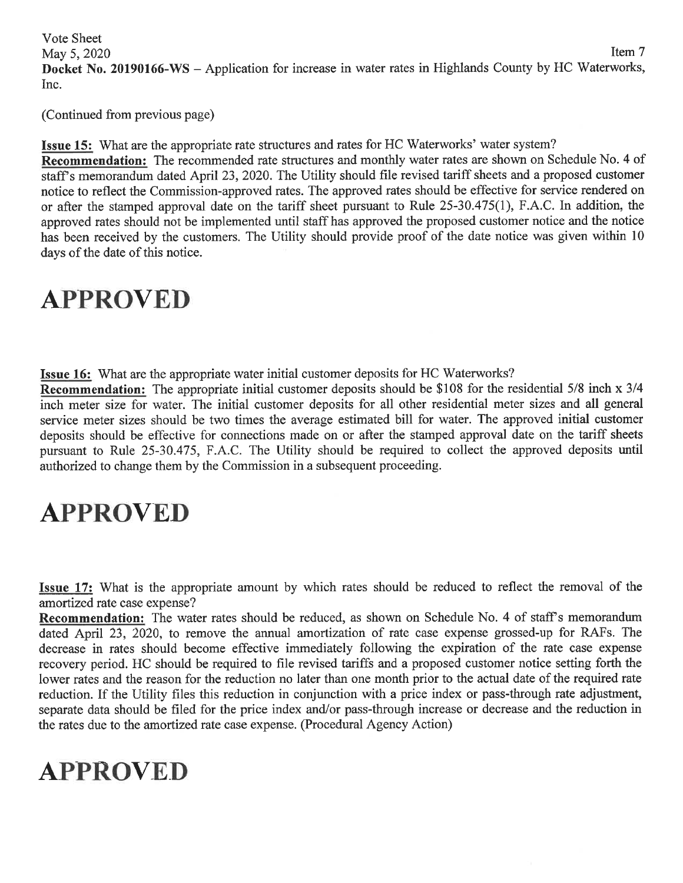Vote Sheet May 5, 2020 Item 7 **Docket No. 20190166-WS** - Application for increase in water rates in Highlands County by HC Waterworks, Inc.

(Continued from previous page)

**Issue 15:** What are the appropriate rate structures and rates for HC Waterworks' water system? **Recommendation:** The recommended rate structures and monthly water rates are shown on Schedule No. 4 of staff's memorandum dated April 23, 2020. The Utility should file revised tariff sheets and a proposed customer notice to reflect the Commission-approved rates. The approved rates should be effective for service rendered on or after the stamped approval date on the tariff sheet pursuant to Rule 25-30.475(1), F.A.C. In addition, the approved rates should not be implemented until staff has approved the proposed customer notice and the notice has been received by the customers. The Utility should provide proof of the date notice was given within 10 days of the date of this notice.

### **APPROVED**

**Issue 16:** What are the appropriate water initial customer deposits for HC Waterworks?

**Recommendation:** The appropriate initial customer deposits should be \$108 for the residential 5/8 inch x 3/4 inch meter size for water. The initial customer deposits for all other residential meter sizes and all general service meter sizes should be two times the average estimated bill for water. The approved initial customer deposits should be effective for connections made on or after the stamped approval date on the tariff sheets pursuant to Rule 25-30.475, F.A.C. The Utility should be required to collect the approved deposits until authorized to change them by the Commission in a subsequent proceeding.

# **APPROVED**

**Issue 17:** What is the appropriate amount by which rates should be reduced to reflect the removal of the amortized rate case expense?

**Recommendation:** The water rates should be reduced, as shown on Schedule No. 4 of staff's memorandum dated April 23, 2020, to remove the annual amortization of rate case expense grossed-up for RAFs. The decrease in rates should become effective immediately following the expiration of the rate case expense recovery period. HC should be required to file revised tariffs and a proposed customer notice setting forth the lower rates and the reason for the reduction no later than one month prior to the actual date of the required rate reduction. If the Utility files this reduction in conjunction with a price index or pass-through rate adjustment, separate data should be filed for the price index and/or pass-through increase or decrease and the reduction in the rates due to the amortized rate case expense. (Procedural Agency Action)